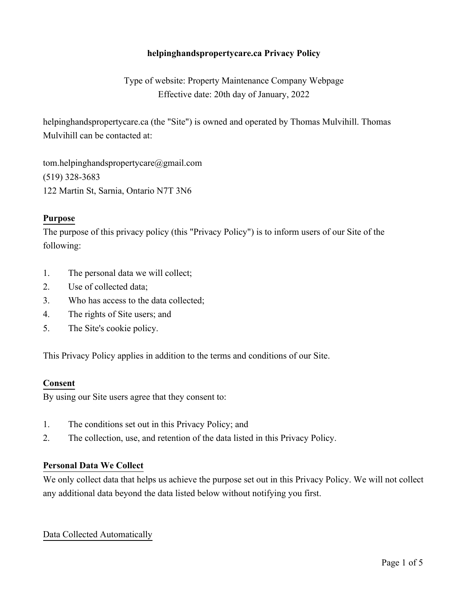# **helpinghandspropertycare.ca Privacy Policy**

Type of website: Property Maintenance Company Webpage Effective date: 20th day of January, 2022

helpinghandspropertycare.ca (the "Site") is owned and operated by Thomas Mulvihill. Thomas Mulvihill can be contacted at:

tom.helpinghandspropertycare@gmail.com (519) 328-3683 122 Martin St, Sarnia, Ontario N7T 3N6

### **Purpose**

The purpose of this privacy policy (this "Privacy Policy") is to inform users of our Site of the following:

- 1. The personal data we will collect;
- 2. Use of collected data;
- 3. Who has access to the data collected;
- 4. The rights of Site users; and
- 5. The Site's cookie policy.

This Privacy Policy applies in addition to the terms and conditions of our Site.

#### **Consent**

By using our Site users agree that they consent to:

- 1. The conditions set out in this Privacy Policy; and
- 2. The collection, use, and retention of the data listed in this Privacy Policy.

#### **Personal Data We Collect**

We only collect data that helps us achieve the purpose set out in this Privacy Policy. We will not collect any additional data beyond the data listed below without notifying you first.

#### Data Collected Automatically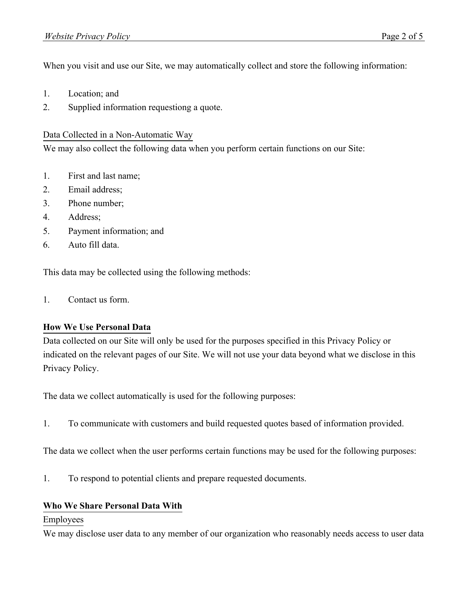When you visit and use our Site, we may automatically collect and store the following information:

- 1. Location; and
- 2. Supplied information requestiong a quote.

### Data Collected in a Non-Automatic Way

We may also collect the following data when you perform certain functions on our Site:

- 1. First and last name;
- 2. Email address;
- 3. Phone number;
- 4. Address;
- 5. Payment information; and
- 6. Auto fill data.

This data may be collected using the following methods:

1. Contact us form.

### **How We Use Personal Data**

Data collected on our Site will only be used for the purposes specified in this Privacy Policy or indicated on the relevant pages of our Site. We will not use your data beyond what we disclose in this Privacy Policy.

The data we collect automatically is used for the following purposes:

1. To communicate with customers and build requested quotes based of information provided.

The data we collect when the user performs certain functions may be used for the following purposes:

1. To respond to potential clients and prepare requested documents.

### **Who We Share Personal Data With**

### Employees

We may disclose user data to any member of our organization who reasonably needs access to user data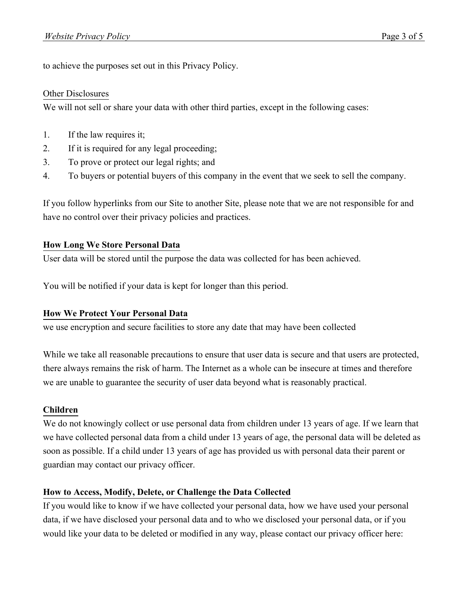to achieve the purposes set out in this Privacy Policy.

#### Other Disclosures

We will not sell or share your data with other third parties, except in the following cases:

- 1. If the law requires it;
- 2. If it is required for any legal proceeding;
- 3. To prove or protect our legal rights; and
- 4. To buyers or potential buyers of this company in the event that we seek to sell the company.

If you follow hyperlinks from our Site to another Site, please note that we are not responsible for and have no control over their privacy policies and practices.

### **How Long We Store Personal Data**

User data will be stored until the purpose the data was collected for has been achieved.

You will be notified if your data is kept for longer than this period.

### **How We Protect Your Personal Data**

we use encryption and secure facilities to store any date that may have been collected

While we take all reasonable precautions to ensure that user data is secure and that users are protected, there always remains the risk of harm. The Internet as a whole can be insecure at times and therefore we are unable to guarantee the security of user data beyond what is reasonably practical.

### **Children**

We do not knowingly collect or use personal data from children under 13 years of age. If we learn that we have collected personal data from a child under 13 years of age, the personal data will be deleted as soon as possible. If a child under 13 years of age has provided us with personal data their parent or guardian may contact our privacy officer.

### **How to Access, Modify, Delete, or Challenge the Data Collected**

If you would like to know if we have collected your personal data, how we have used your personal data, if we have disclosed your personal data and to who we disclosed your personal data, or if you would like your data to be deleted or modified in any way, please contact our privacy officer here: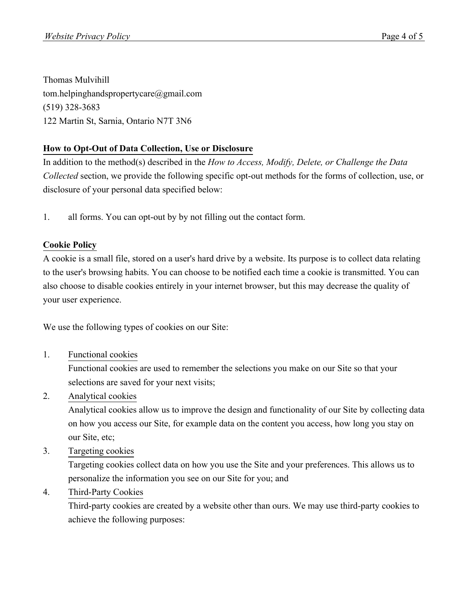Thomas Mulvihill tom.helpinghandspropertycare@gmail.com (519) 328-3683 122 Martin St, Sarnia, Ontario N7T 3N6

# **How to Opt-Out of Data Collection, Use or Disclosure**

In addition to the method(s) described in the *How to Access, Modify, Delete, or Challenge the Data Collected* section, we provide the following specific opt-out methods for the forms of collection, use, or disclosure of your personal data specified below:

1. all forms. You can opt-out by by not filling out the contact form.

# **Cookie Policy**

A cookie is a small file, stored on a user's hard drive by a website. Its purpose is to collect data relating to the user's browsing habits. You can choose to be notified each time a cookie is transmitted. You can also choose to disable cookies entirely in your internet browser, but this may decrease the quality of your user experience.

We use the following types of cookies on our Site:

1. Functional cookies

Functional cookies are used to remember the selections you make on our Site so that your selections are saved for your next visits;

2. Analytical cookies

Analytical cookies allow us to improve the design and functionality of our Site by collecting data on how you access our Site, for example data on the content you access, how long you stay on our Site, etc;

3. Targeting cookies

Targeting cookies collect data on how you use the Site and your preferences. This allows us to personalize the information you see on our Site for you; and

4. Third-Party Cookies

Third-party cookies are created by a website other than ours. We may use third-party cookies to achieve the following purposes: